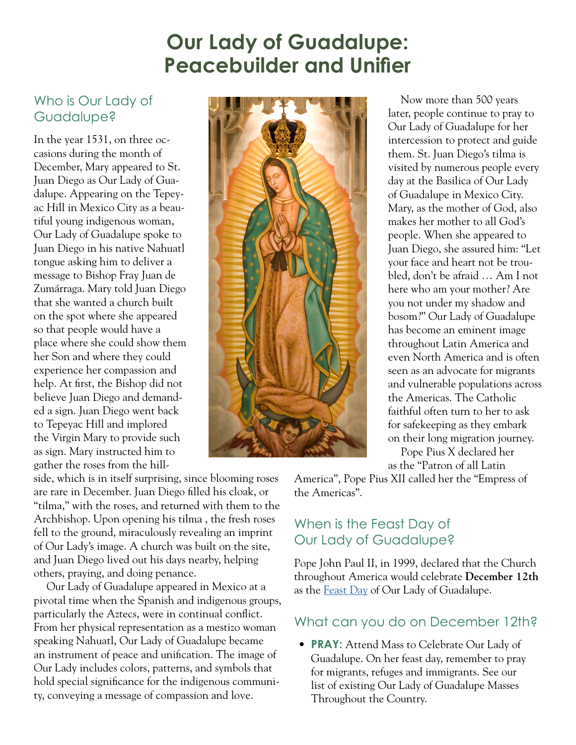# **Our Lady of Guadalupe: Peacebuilder and Unifier**

### Who is Our Lady of Guadalupe?

In the year 1531, on three occasions during the month of December, Mary appeared to St. Juan Diego as Our Lady of Guadalupe. Appearing on the Tepeyac Hill in Mexico City as a beautiful young indigenous woman, Our Lady of Guadalupe spoke to Juan Diego in his native Nahuatl tongue asking him to deliver a message to Bishop Fray Juan de Zumárraga. Mary told Juan Diego that she wanted a church built on the spot where she appeared so that people would have a place where she could show them her Son and where they could experience her compassion and help. At first, the Bishop did not believe Juan Diego and demanded a sign. Juan Diego went back to Tepeyac Hill and implored the Virgin Mary to provide such as sign. Mary instructed him to gather the roses from the hill-

side, which is in itself surprising, since blooming roses are rare in December. Juan Diego filled his cloak, or "tilma," with the roses, and returned with them to the Archbishop. Upon opening his tilma , the fresh roses fell to the ground, miraculously revealing an imprint of Our Lady's image. A church was built on the site, and Juan Diego lived out his days nearby, helping others, praying, and doing penance.

Our Lady of Guadalupe appeared in Mexico at a pivotal time when the Spanish and indigenous groups, particularly the Aztecs, were in continual conflict. From her physical representation as a mestizo woman speaking Nahuatl, Our Lady of Guadalupe became an instrument of peace and unification. The image of Our Lady includes colors, patterns, and symbols that hold special significance for the indigenous community, conveying a message of compassion and love.



Now more than 500 years later, people continue to pray to Our Lady of Guadalupe for her intercession to protect and guide them. St. Juan Diego's tilma is visited by numerous people every day at the Basilica of Our Lady of Guadalupe in Mexico City. Mary, as the mother of God, also makes her mother to all God's people. When she appeared to Juan Diego, she assured him: "Let your face and heart not be troubled, don't be afraid … Am I not here who am your mother? Are you not under my shadow and bosom?" Our Lady of Guadalupe has become an eminent image throughout Latin America and even North America and is often seen as an advocate for migrants and vulnerable populations across the Americas. The Catholic faithful often turn to her to ask for safekeeping as they embark on their long migration journey.

Pope Pius X declared her as the "Patron of all Latin

America", Pope Pius XII called her the "Empress of the Americas".

## When is the Feast Day of Our Lady of Guadalupe?

Pope John Paul II, in 1999, declared that the Church throughout America would celebrate **December 12th** as the [Feast Day](http://w2.vatican.va/content/john-paul-ii/en/homilies/1999/documents/hf_jp-ii_hom_19990123_mexico-guadalupe.html) of Our Lady of Guadalupe.

### What can you do on December 12th?

• **PRAY:** Attend Mass to Celebrate Our Lady of Guadalupe. On her feast day, remember to pray for migrants, refuges and immigrants. See our list of existing Our Lady of Guadalupe Masses Throughout the Country.